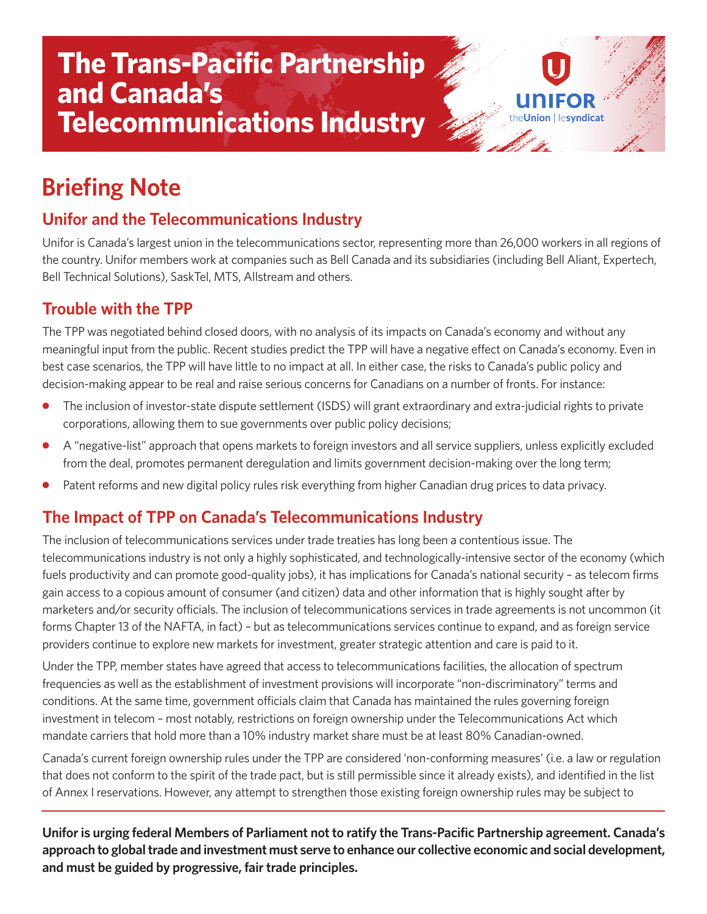# **The Trans-Pacific Partnership and Canada's Telecommunications Industry**

# **Briefing Note**

### **Unifor and the Telecommunications Industry**

Unifor is Canada's largest union in the telecommunications sector, representing more than 26,000 workers in all regions of the country. Unifor members work at companies such as Bell Canada and its subsidiaries (including Bell Aliant, Expertech, Bell Technical Solutions), SaskTel, MTS, Allstream and others.

ion Hesyndicat

#### **Trouble with the TPP**

The TPP was negotiated behind closed doors, with no analysis of its impacts on Canada's economy and without any meaningful input from the public. Recent studies predict the TPP will have a negative effect on Canada's economy. Even in best case scenarios, the TPP will have little to no impact at all. In either case, the risks to Canada's public policy and decision-making appear to be real and raise serious concerns for Canadians on a number of fronts. For instance:

- **●** The inclusion of investor-state dispute settlement (ISDS) will grant extraordinary and extra-judicial rights to private corporations, allowing them to sue governments over public policy decisions;
- **●** A "negative-list" approach that opens markets to foreign investors and all service suppliers, unless explicitly excluded from the deal, promotes permanent deregulation and limits government decision-making over the long term;
- Patent reforms and new digital policy rules risk everything from higher Canadian drug prices to data privacy.

#### **The Impact of TPP on Canada's Telecommunications Industry**

The inclusion of telecommunications services under trade treaties has long been a contentious issue. The telecommunications industry is not only a highly sophisticated, and technologically-intensive sector of the economy (which fuels productivity and can promote good-quality jobs), it has implications for Canada's national security – as telecom firms gain access to a copious amount of consumer (and citizen) data and other information that is highly sought after by marketers and/or security officials. The inclusion of telecommunications services in trade agreements is not uncommon (it forms Chapter 13 of the NAFTA, in fact) – but as telecommunications services continue to expand, and as foreign service providers continue to explore new markets for investment, greater strategic attention and care is paid to it.

Under the TPP, member states have agreed that access to telecommunications facilities, the allocation of spectrum frequencies as well as the establishment of investment provisions will incorporate "non-discriminatory" terms and conditions. At the same time, government officials claim that Canada has maintained the rules governing foreign investment in telecom – most notably, restrictions on foreign ownership under the Telecommunications Act which mandate carriers that hold more than a 10% industry market share must be at least 80% Canadian-owned.

Canada's current foreign ownership rules under the TPP are considered 'non-conforming measures' (i.e. a law or regulation that does not conform to the spirit of the trade pact, but is still permissible since it already exists), and identified in the list of Annex I reservations. However, any attempt to strengthen those existing foreign ownership rules may be subject to

**Uniforis urging federal Members of Parliament not to ratify the Trans-Pacific Partnership agreement. Canada's approach to globaltrade and investment must serve to enhance our collective economic and social development, and must be guided by progressive, fair trade principles.**